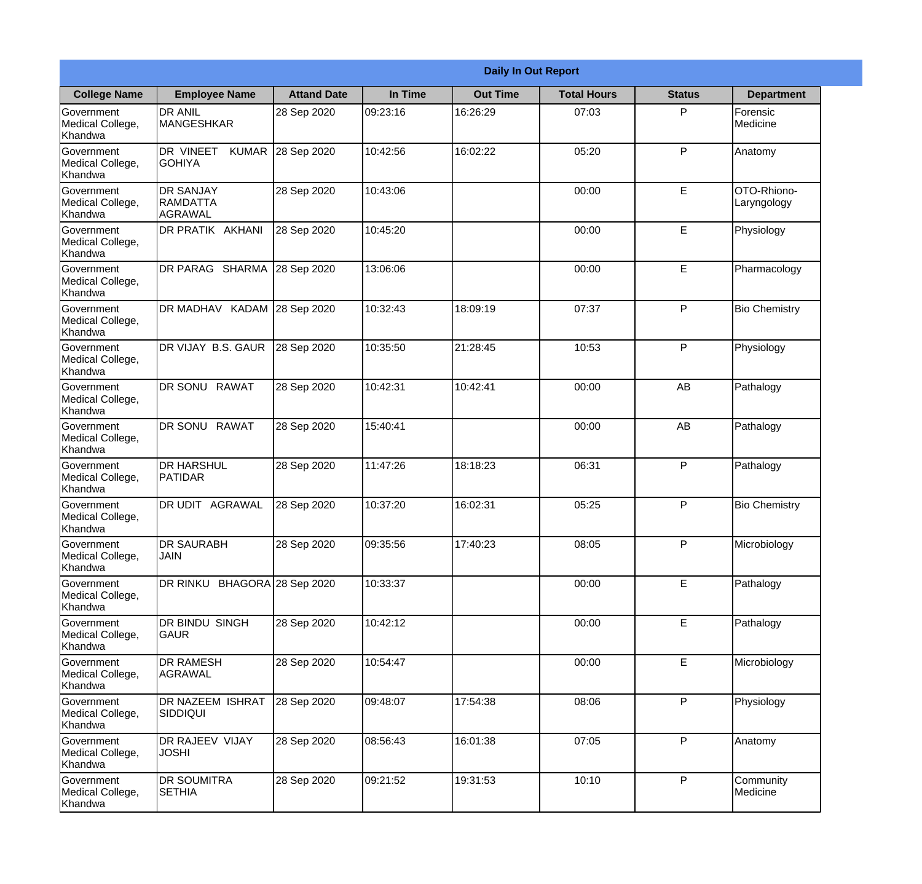|                                                  |                                                |                    |          | <b>Daily In Out Report</b> |                    |               |                            |
|--------------------------------------------------|------------------------------------------------|--------------------|----------|----------------------------|--------------------|---------------|----------------------------|
| <b>College Name</b>                              | <b>Employee Name</b>                           | <b>Attand Date</b> | In Time  | <b>Out Time</b>            | <b>Total Hours</b> | <b>Status</b> | <b>Department</b>          |
| Government<br>Medical College,<br>Khandwa        | <b>DR ANIL</b><br><b>MANGESHKAR</b>            | 28 Sep 2020        | 09:23:16 | 16:26:29                   | 07:03              | P             | Forensic<br>Medicine       |
| Government<br>Medical College,<br>Khandwa        | DR VINEET<br><b>KUMAR</b><br><b>GOHIYA</b>     | 28 Sep 2020        | 10:42:56 | 16:02:22                   | 05:20              | P             | Anatomy                    |
| <b>Government</b><br>Medical College,<br>Khandwa | <b>DR SANJAY</b><br><b>RAMDATTA</b><br>AGRAWAL | 28 Sep 2020        | 10:43:06 |                            | 00:00              | E             | OTO-Rhiono-<br>Laryngology |
| Government<br>Medical College,<br>Khandwa        | DR PRATIK AKHANI                               | 28 Sep 2020        | 10:45:20 |                            | 00:00              | E             | Physiology                 |
| Government<br>Medical College,<br>Khandwa        | DR PARAG SHARMA                                | 28 Sep 2020        | 13:06:06 |                            | 00:00              | E             | Pharmacology               |
| Government<br>Medical College,<br>Khandwa        | DR MADHAV KADAM                                | 28 Sep 2020        | 10:32:43 | 18:09:19                   | 07:37              | P             | <b>Bio Chemistry</b>       |
| <b>Government</b><br>Medical College,<br>Khandwa | DR VIJAY B.S. GAUR                             | 28 Sep 2020        | 10:35:50 | 21:28:45                   | 10:53              | P             | Physiology                 |
| <b>Government</b><br>Medical College,<br>Khandwa | DR SONU RAWAT                                  | 28 Sep 2020        | 10:42:31 | 10:42:41                   | 00:00              | AB            | Pathalogy                  |
| Government<br>Medical College,<br>Khandwa        | DR SONU<br><b>RAWAT</b>                        | 28 Sep 2020        | 15:40:41 |                            | 00:00              | AB            | Pathalogy                  |
| Government<br>Medical College,<br>Khandwa        | <b>DR HARSHUL</b><br>PATIDAR                   | 28 Sep 2020        | 11:47:26 | 18:18:23                   | 06:31              | P             | Pathalogy                  |
| Government<br>Medical College,<br>Khandwa        | IDR UDIT<br><b>AGRAWAL</b>                     | 28 Sep 2020        | 10:37:20 | 16:02:31                   | 05:25              | $\mathsf{P}$  | <b>Bio Chemistry</b>       |
| Government<br>Medical College,<br>Khandwa        | <b>DR SAURABH</b><br><b>JAIN</b>               | 28 Sep 2020        | 09:35:56 | 17:40:23                   | 08:05              | P             | Microbiology               |
| Government<br>Medical College,<br>Khandwa        | DR RINKU BHAGORA 28 Sep 2020                   |                    | 10:33:37 |                            | 00:00              | E             | Pathalogy                  |
| Government<br>Medical College,<br>Khandwa        | DR BINDU SINGH<br><b>GAUR</b>                  | 28 Sep 2020        | 10:42:12 |                            | 00:00              | E             | Pathalogy                  |
| Government<br>Medical College,<br>Khandwa        | <b>DR RAMESH</b><br>AGRAWAL                    | 28 Sep 2020        | 10:54:47 |                            | 00:00              | E             | Microbiology               |
| Government<br>Medical College,<br>Khandwa        | <b>DR NAZEEM ISHRAT</b><br><b>SIDDIQUI</b>     | 28 Sep 2020        | 09:48:07 | 17:54:38                   | 08:06              | P             | Physiology                 |
| Government<br>Medical College,<br>Khandwa        | DR RAJEEV VIJAY<br><b>JOSHI</b>                | 28 Sep 2020        | 08:56:43 | 16:01:38                   | 07:05              | P             | Anatomy                    |
| Government<br>Medical College,<br>Khandwa        | <b>DR SOUMITRA</b><br><b>SETHIA</b>            | 28 Sep 2020        | 09:21:52 | 19:31:53                   | 10:10              | P             | Community<br>Medicine      |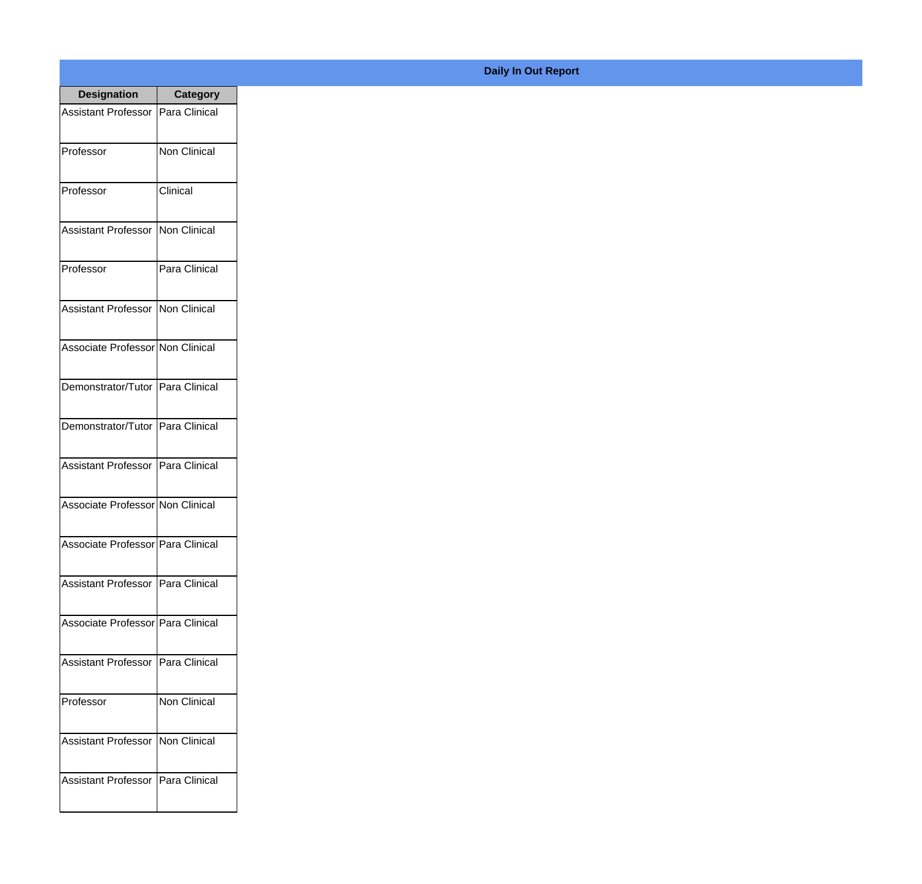| <b>Designation</b>                  | <b>Category</b>     |
|-------------------------------------|---------------------|
| Assistant Professor   Para Clinical |                     |
| Professor                           | <b>Non Clinical</b> |
| Professor                           | Clinical            |
| Assistant Professor                 | Non Clinical        |
| Professor                           | Para Clinical       |
| Assistant Professor   Non Clinical  |                     |
| Associate Professor Non Clinical    |                     |
| Demonstrator/Tutor   Para Clinical  |                     |
| Demonstrator/Tutor   Para Clinical  |                     |
| Assistant Professor   Para Clinical |                     |
| Associate Professor Non Clinical    |                     |
| Associate Professor Para Clinical   |                     |
| Assistant Professor   Para Clinical |                     |
| Associate Professor Para Clinical   |                     |
| Assistant Professor   Para Clinical |                     |
| Professor                           | Non Clinical        |
| <b>Assistant Professor</b>          | Non Clinical        |
| Assistant Professor                 | Para Clinical       |

## **Daily In Out Report**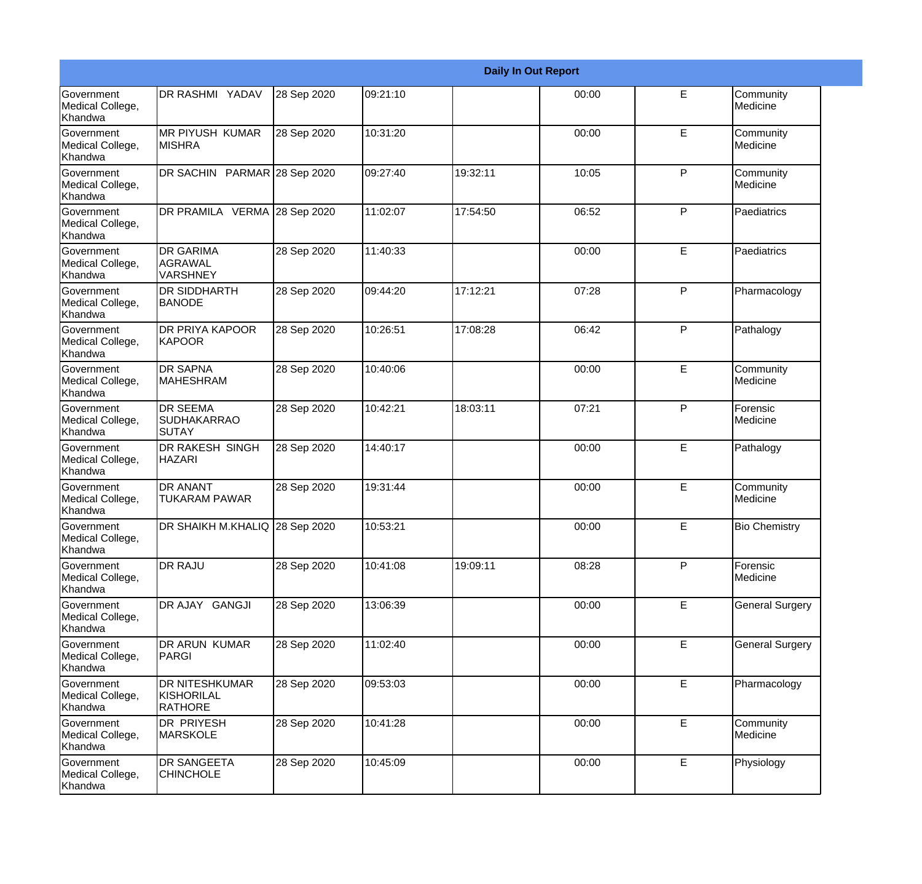|                                                  |                                                       |             |          |          | <b>Daily In Out Report</b> |              |                        |
|--------------------------------------------------|-------------------------------------------------------|-------------|----------|----------|----------------------------|--------------|------------------------|
| <b>Government</b><br>Medical College,<br>Khandwa | DR RASHMI YADAV                                       | 28 Sep 2020 | 09:21:10 |          | 00:00                      | E            | Community<br>Medicine  |
| Government<br>Medical College,<br>Khandwa        | <b>MR PIYUSH KUMAR</b><br><b>MISHRA</b>               | 28 Sep 2020 | 10:31:20 |          | 00:00                      | E            | Community<br>Medicine  |
| <b>Government</b><br>Medical College,<br>Khandwa | DR SACHIN PARMAR 28 Sep 2020                          |             | 09:27:40 | 19:32:11 | 10:05                      | P            | Community<br>Medicine  |
| Government<br>Medical College,<br>Khandwa        | DR PRAMILA VERMA 28 Sep 2020                          |             | 11:02:07 | 17:54:50 | 06:52                      | $\mathsf{P}$ | Paediatrics            |
| Government<br>Medical College,<br>Khandwa        | <b>DR GARIMA</b><br><b>AGRAWAL</b><br><b>VARSHNEY</b> | 28 Sep 2020 | 11:40:33 |          | 00:00                      | E            | Paediatrics            |
| Government<br>Medical College,<br>Khandwa        | DR SIDDHARTH<br><b>BANODE</b>                         | 28 Sep 2020 | 09:44:20 | 17:12:21 | 07:28                      | $\mathsf{P}$ | Pharmacology           |
| Government<br>Medical College,<br>Khandwa        | <b>DR PRIYA KAPOOR</b><br>KAPOOR                      | 28 Sep 2020 | 10:26:51 | 17:08:28 | 06:42                      | $\mathsf{P}$ | Pathalogy              |
| Government<br>Medical College,<br>Khandwa        | <b>DR SAPNA</b><br><b>MAHESHRAM</b>                   | 28 Sep 2020 | 10:40:06 |          | 00:00                      | E            | Community<br>Medicine  |
| Government<br>Medical College,<br>Khandwa        | <b>DR SEEMA</b><br><b>SUDHAKARRAO</b><br>SUTAY        | 28 Sep 2020 | 10:42:21 | 18:03:11 | 07:21                      | $\mathsf{P}$ | Forensic<br>Medicine   |
| <b>Government</b><br>Medical College,<br>Khandwa | DR RAKESH SINGH<br><b>HAZARI</b>                      | 28 Sep 2020 | 14:40:17 |          | 00:00                      | E            | Pathalogy              |
| Government<br>Medical College,<br>Khandwa        | <b>DR ANANT</b><br><b>TUKARAM PAWAR</b>               | 28 Sep 2020 | 19:31:44 |          | 00:00                      | E            | Community<br>Medicine  |
| Government<br>Medical College,<br>Khandwa        | DR SHAIKH M.KHALIQ 28 Sep 2020                        |             | 10:53:21 |          | 00:00                      | E            | <b>Bio Chemistry</b>   |
| Government<br>Medical College,<br>Khandwa        | DR RAJU                                               | 28 Sep 2020 | 10:41:08 | 19:09:11 | 08:28                      | P            | Forensic<br>Medicine   |
| Government<br>Medical College,<br>Khandwa        | DR AJAY GANGJI                                        | 28 Sep 2020 | 13:06:39 |          | 00:00                      | E            | <b>General Surgery</b> |
| Government<br>Medical College,<br>Khandwa        | <b>DR ARUN KUMAR</b><br>PARGI                         | 28 Sep 2020 | 11:02:40 |          | 00:00                      | E            | <b>General Surgery</b> |
| Government<br>Medical College,<br>Khandwa        | DR NITESHKUMAR<br>KISHORILAL<br><b>RATHORE</b>        | 28 Sep 2020 | 09:53:03 |          | 00:00                      | E            | Pharmacology           |
| Government<br>Medical College,<br>Khandwa        | DR PRIYESH<br><b>MARSKOLE</b>                         | 28 Sep 2020 | 10:41:28 |          | 00:00                      | E            | Community<br>Medicine  |
| Government<br>Medical College,<br>Khandwa        | DR SANGEETA<br><b>CHINCHOLE</b>                       | 28 Sep 2020 | 10:45:09 |          | 00:00                      | E            | Physiology             |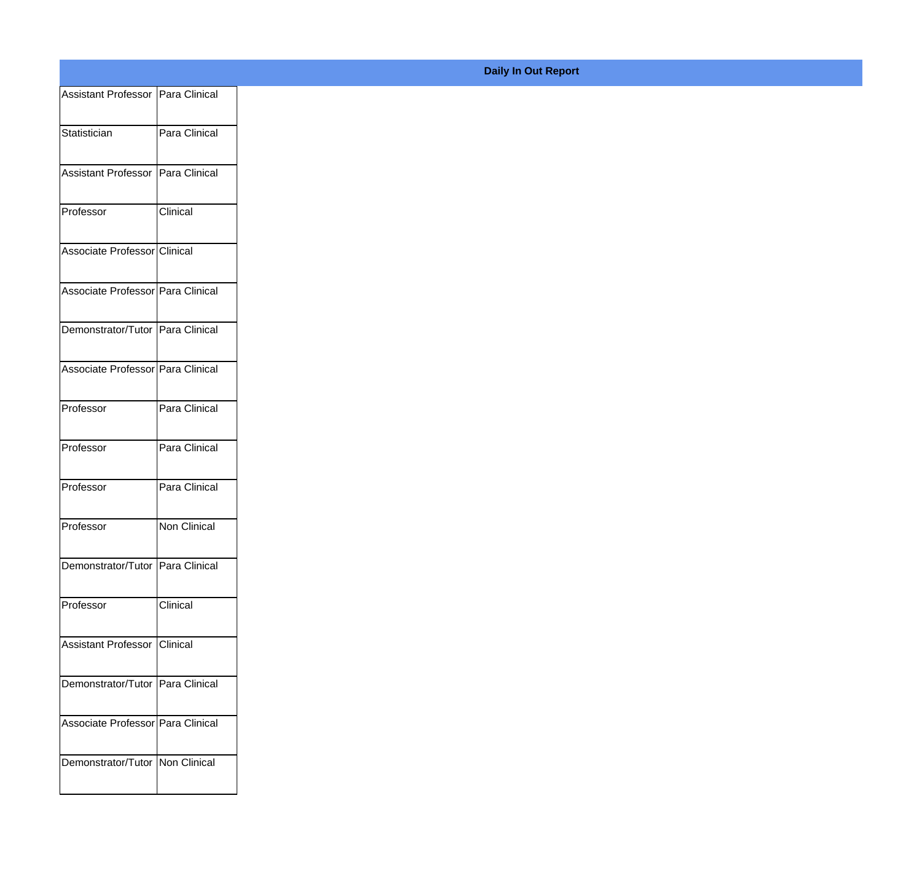| Assistant Professor   Para Clinical |               |
|-------------------------------------|---------------|
|                                     |               |
| Statistician                        | Para Clinical |
| Assistant Professor Para Clinical   |               |
|                                     |               |
| Professor                           | Clinical      |
| Associate Professor Clinical        |               |
|                                     |               |
| Associate Professor Para Clinical   |               |
| Demonstrator/Tutor Para Clinical    |               |
|                                     |               |
| Associate Professor Para Clinical   |               |
| Professor                           | Para Clinical |
|                                     |               |
| Professor                           | Para Clinical |
| Professor                           | Para Clinical |
|                                     |               |
| Professor                           | Non Clinical  |
| Demonstrator/Tutor Para Clinical    |               |
|                                     |               |
| Professor                           | Clinical      |
| Assistant Professor Clinical        |               |
|                                     |               |
| Demonstrator/Tutor Para Clinical    |               |
| Associate Professor Para Clinical   |               |
|                                     |               |
| Demonstrator/Tutor   Non Clinical   |               |
|                                     |               |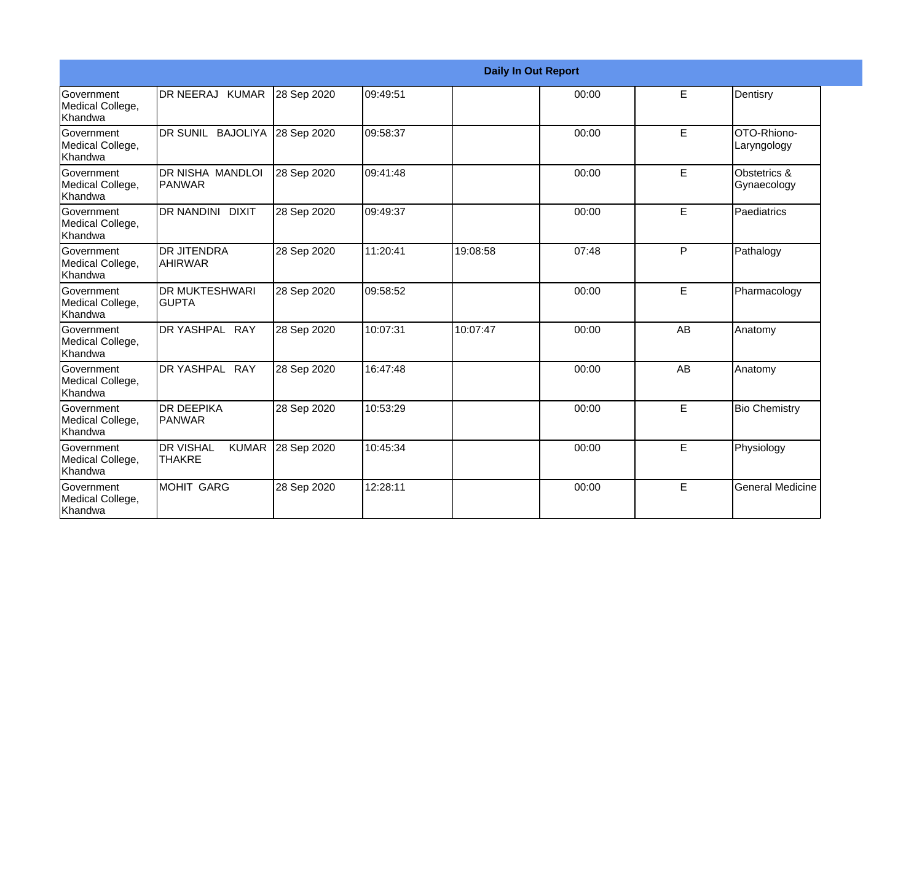|                                                         |                                                   |             |          | <b>Daily In Out Report</b> |       |    |                                   |
|---------------------------------------------------------|---------------------------------------------------|-------------|----------|----------------------------|-------|----|-----------------------------------|
| <b>Government</b><br>Medical College,<br>Khandwa        | DR NEERAJ KUMAR                                   | 28 Sep 2020 | 09:49:51 |                            | 00:00 | E  | Dentisry                          |
| <b>Government</b><br>Medical College,<br>Khandwa        | DR SUNIL BAJOLIYA                                 | 28 Sep 2020 | 09:58:37 |                            | 00:00 | E  | <b>OTO-Rhiono-</b><br>Laryngology |
| <b>Government</b><br>Medical College,<br><b>Khandwa</b> | DR NISHA MANDLOI<br><b>PANWAR</b>                 | 28 Sep 2020 | 09:41:48 |                            | 00:00 | E  | Obstetrics &<br>Gynaecology       |
| <b>Government</b><br>Medical College,<br>Khandwa        | DR NANDINI DIXIT                                  | 28 Sep 2020 | 09:49:37 |                            | 00:00 | E  | Paediatrics                       |
| <b>Government</b><br>Medical College,<br>Khandwa        | <b>DR JITENDRA</b><br><b>AHIRWAR</b>              | 28 Sep 2020 | 11:20:41 | 19:08:58                   | 07:48 | P  | Pathalogy                         |
| <b>Government</b><br>Medical College,<br>Khandwa        | <b>DR MUKTESHWARI</b><br><b>GUPTA</b>             | 28 Sep 2020 | 09:58:52 |                            | 00:00 | E  | Pharmacology                      |
| Government<br>Medical College,<br>Khandwa               | DR YASHPAL RAY                                    | 28 Sep 2020 | 10:07:31 | 10:07:47                   | 00:00 | AB | Anatomy                           |
| <b>Government</b><br>Medical College,<br>Khandwa        | DR YASHPAL RAY                                    | 28 Sep 2020 | 16:47:48 |                            | 00:00 | AB | Anatomy                           |
| Government<br>Medical College,<br><b>Khandwa</b>        | <b>DR DEEPIKA</b><br>PANWAR                       | 28 Sep 2020 | 10:53:29 |                            | 00:00 | E  | <b>Bio Chemistry</b>              |
| <b>Government</b><br>Medical College,<br>Khandwa        | <b>DR VISHAL</b><br><b>KUMAR</b><br><b>THAKRE</b> | 28 Sep 2020 | 10:45:34 |                            | 00:00 | E  | Physiology                        |
| <b>Government</b><br>Medical College,<br>Khandwa        | <b>MOHIT GARG</b>                                 | 28 Sep 2020 | 12:28:11 |                            | 00:00 | E  | <b>General Medicine</b>           |